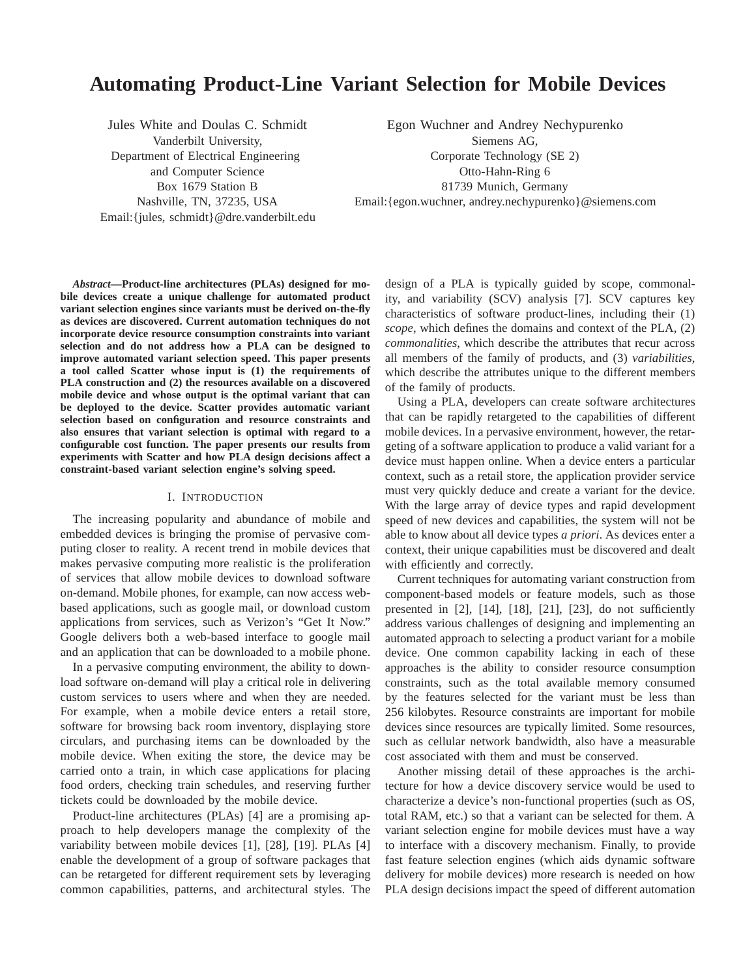# **Automating Product-Line Variant Selection for Mobile Devices**

Jules White and Doulas C. Schmidt Vanderbilt University, Department of Electrical Engineering and Computer Science Box 1679 Station B Nashville, TN, 37235, USA Email:{jules, schmidt}@dre.vanderbilt.edu

Egon Wuchner and Andrey Nechypurenko Siemens AG, Corporate Technology (SE 2) Otto-Hahn-Ring 6 81739 Munich, Germany Email:{egon.wuchner, andrey.nechypurenko}@siemens.com

*Abstract***—Product-line architectures (PLAs) designed for mobile devices create a unique challenge for automated product variant selection engines since variants must be derived on-the-fly as devices are discovered. Current automation techniques do not incorporate device resource consumption constraints into variant selection and do not address how a PLA can be designed to improve automated variant selection speed. This paper presents a tool called Scatter whose input is (1) the requirements of PLA construction and (2) the resources available on a discovered mobile device and whose output is the optimal variant that can be deployed to the device. Scatter provides automatic variant selection based on configuration and resource constraints and also ensures that variant selection is optimal with regard to a configurable cost function. The paper presents our results from experiments with Scatter and how PLA design decisions affect a constraint-based variant selection engine's solving speed.**

## I. INTRODUCTION

The increasing popularity and abundance of mobile and embedded devices is bringing the promise of pervasive computing closer to reality. A recent trend in mobile devices that makes pervasive computing more realistic is the proliferation of services that allow mobile devices to download software on-demand. Mobile phones, for example, can now access webbased applications, such as google mail, or download custom applications from services, such as Verizon's "Get It Now." Google delivers both a web-based interface to google mail and an application that can be downloaded to a mobile phone.

In a pervasive computing environment, the ability to download software on-demand will play a critical role in delivering custom services to users where and when they are needed. For example, when a mobile device enters a retail store, software for browsing back room inventory, displaying store circulars, and purchasing items can be downloaded by the mobile device. When exiting the store, the device may be carried onto a train, in which case applications for placing food orders, checking train schedules, and reserving further tickets could be downloaded by the mobile device.

Product-line architectures (PLAs) [4] are a promising approach to help developers manage the complexity of the variability between mobile devices [1], [28], [19]. PLAs [4] enable the development of a group of software packages that can be retargeted for different requirement sets by leveraging common capabilities, patterns, and architectural styles. The

design of a PLA is typically guided by scope, commonality, and variability (SCV) analysis [7]. SCV captures key characteristics of software product-lines, including their (1) *scope*, which defines the domains and context of the PLA, (2) *commonalities*, which describe the attributes that recur across all members of the family of products, and (3) *variabilities*, which describe the attributes unique to the different members of the family of products.

Using a PLA, developers can create software architectures that can be rapidly retargeted to the capabilities of different mobile devices. In a pervasive environment, however, the retargeting of a software application to produce a valid variant for a device must happen online. When a device enters a particular context, such as a retail store, the application provider service must very quickly deduce and create a variant for the device. With the large array of device types and rapid development speed of new devices and capabilities, the system will not be able to know about all device types *a priori*. As devices enter a context, their unique capabilities must be discovered and dealt with efficiently and correctly.

Current techniques for automating variant construction from component-based models or feature models, such as those presented in  $[2]$ ,  $[14]$ ,  $[18]$ ,  $[21]$ ,  $[23]$ , do not sufficiently address various challenges of designing and implementing an automated approach to selecting a product variant for a mobile device. One common capability lacking in each of these approaches is the ability to consider resource consumption constraints, such as the total available memory consumed by the features selected for the variant must be less than 256 kilobytes. Resource constraints are important for mobile devices since resources are typically limited. Some resources, such as cellular network bandwidth, also have a measurable cost associated with them and must be conserved.

Another missing detail of these approaches is the architecture for how a device discovery service would be used to characterize a device's non-functional properties (such as OS, total RAM, etc.) so that a variant can be selected for them. A variant selection engine for mobile devices must have a way to interface with a discovery mechanism. Finally, to provide fast feature selection engines (which aids dynamic software delivery for mobile devices) more research is needed on how PLA design decisions impact the speed of different automation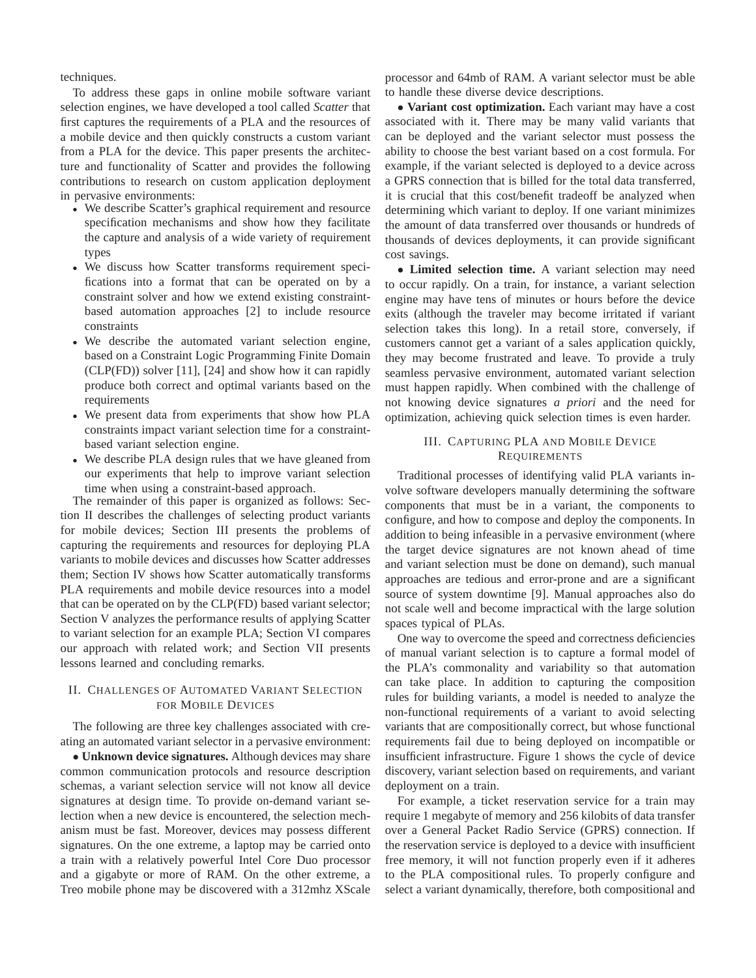techniques.

To address these gaps in online mobile software variant selection engines, we have developed a tool called *Scatter* that first captures the requirements of a PLA and the resources of a mobile device and then quickly constructs a custom variant from a PLA for the device. This paper presents the architecture and functionality of Scatter and provides the following contributions to research on custom application deployment in pervasive environments:

- We describe Scatter's graphical requirement and resource specification mechanisms and show how they facilitate the capture and analysis of a wide variety of requirement types
- We discuss how Scatter transforms requirement specifications into a format that can be operated on by a constraint solver and how we extend existing constraintbased automation approaches [2] to include resource constraints
- We describe the automated variant selection engine, based on a Constraint Logic Programming Finite Domain (CLP(FD)) solver [11], [24] and show how it can rapidly produce both correct and optimal variants based on the requirements
- We present data from experiments that show how PLA constraints impact variant selection time for a constraintbased variant selection engine.
- We describe PLA design rules that we have gleaned from our experiments that help to improve variant selection time when using a constraint-based approach.

The remainder of this paper is organized as follows: Section II describes the challenges of selecting product variants for mobile devices; Section III presents the problems of capturing the requirements and resources for deploying PLA variants to mobile devices and discusses how Scatter addresses them; Section IV shows how Scatter automatically transforms PLA requirements and mobile device resources into a model that can be operated on by the CLP(FD) based variant selector; Section V analyzes the performance results of applying Scatter to variant selection for an example PLA; Section VI compares our approach with related work; and Section VII presents lessons learned and concluding remarks.

# II. CHALLENGES OF AUTOMATED VARIANT SELECTION FOR MOBILE DEVICES

The following are three key challenges associated with creating an automated variant selector in a pervasive environment:

• **Unknown device signatures.** Although devices may share common communication protocols and resource description schemas, a variant selection service will not know all device signatures at design time. To provide on-demand variant selection when a new device is encountered, the selection mechanism must be fast. Moreover, devices may possess different signatures. On the one extreme, a laptop may be carried onto a train with a relatively powerful Intel Core Duo processor and a gigabyte or more of RAM. On the other extreme, a Treo mobile phone may be discovered with a 312mhz XScale processor and 64mb of RAM. A variant selector must be able to handle these diverse device descriptions.

• **Variant cost optimization.** Each variant may have a cost associated with it. There may be many valid variants that can be deployed and the variant selector must possess the ability to choose the best variant based on a cost formula. For example, if the variant selected is deployed to a device across a GPRS connection that is billed for the total data transferred, it is crucial that this cost/benefit tradeoff be analyzed when determining which variant to deploy. If one variant minimizes the amount of data transferred over thousands or hundreds of thousands of devices deployments, it can provide significant cost savings.

• **Limited selection time.** A variant selection may need to occur rapidly. On a train, for instance, a variant selection engine may have tens of minutes or hours before the device exits (although the traveler may become irritated if variant selection takes this long). In a retail store, conversely, if customers cannot get a variant of a sales application quickly, they may become frustrated and leave. To provide a truly seamless pervasive environment, automated variant selection must happen rapidly. When combined with the challenge of not knowing device signatures *a priori* and the need for optimization, achieving quick selection times is even harder.

# III. CAPTURING PLA AND MOBILE DEVICE REQUIREMENTS

Traditional processes of identifying valid PLA variants involve software developers manually determining the software components that must be in a variant, the components to configure, and how to compose and deploy the components. In addition to being infeasible in a pervasive environment (where the target device signatures are not known ahead of time and variant selection must be done on demand), such manual approaches are tedious and error-prone and are a significant source of system downtime [9]. Manual approaches also do not scale well and become impractical with the large solution spaces typical of PLAs.

One way to overcome the speed and correctness deficiencies of manual variant selection is to capture a formal model of the PLA's commonality and variability so that automation can take place. In addition to capturing the composition rules for building variants, a model is needed to analyze the non-functional requirements of a variant to avoid selecting variants that are compositionally correct, but whose functional requirements fail due to being deployed on incompatible or insufficient infrastructure. Figure 1 shows the cycle of device discovery, variant selection based on requirements, and variant deployment on a train.

For example, a ticket reservation service for a train may require 1 megabyte of memory and 256 kilobits of data transfer over a General Packet Radio Service (GPRS) connection. If the reservation service is deployed to a device with insufficient free memory, it will not function properly even if it adheres to the PLA compositional rules. To properly configure and select a variant dynamically, therefore, both compositional and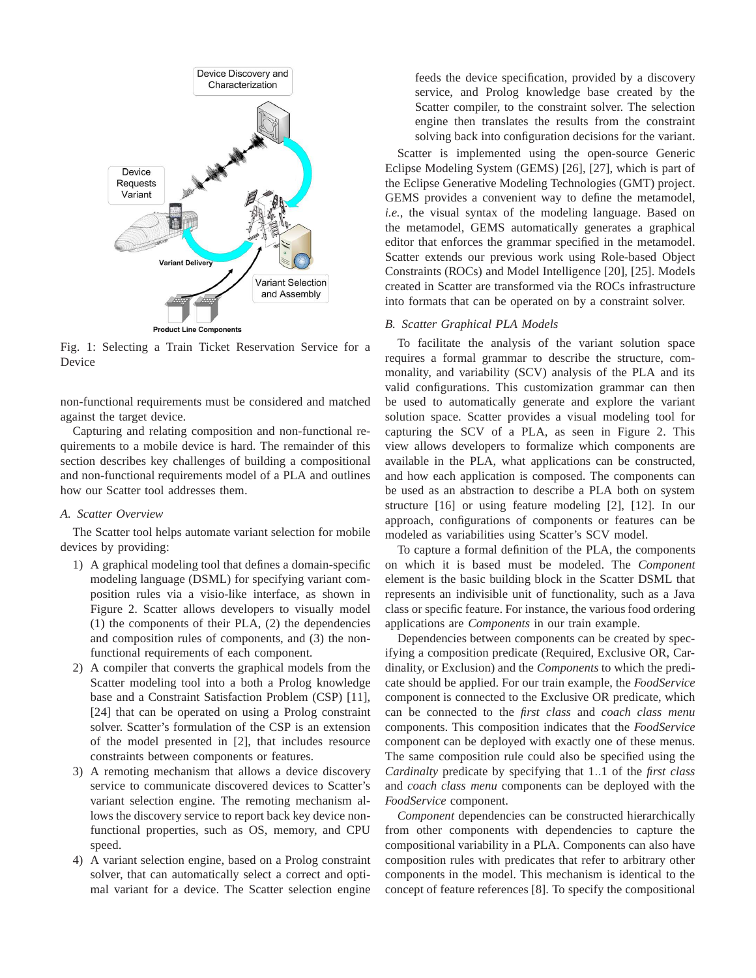

Fig. 1: Selecting a Train Ticket Reservation Service for a Device

non-functional requirements must be considered and matched against the target device.

Capturing and relating composition and non-functional requirements to a mobile device is hard. The remainder of this section describes key challenges of building a compositional and non-functional requirements model of a PLA and outlines how our Scatter tool addresses them.

#### *A. Scatter Overview*

The Scatter tool helps automate variant selection for mobile devices by providing:

- 1) A graphical modeling tool that defines a domain-specific modeling language (DSML) for specifying variant composition rules via a visio-like interface, as shown in Figure 2. Scatter allows developers to visually model (1) the components of their PLA, (2) the dependencies and composition rules of components, and (3) the nonfunctional requirements of each component.
- 2) A compiler that converts the graphical models from the Scatter modeling tool into a both a Prolog knowledge base and a Constraint Satisfaction Problem (CSP) [11], [24] that can be operated on using a Prolog constraint solver. Scatter's formulation of the CSP is an extension of the model presented in [2], that includes resource constraints between components or features.
- 3) A remoting mechanism that allows a device discovery service to communicate discovered devices to Scatter's variant selection engine. The remoting mechanism allows the discovery service to report back key device nonfunctional properties, such as OS, memory, and CPU speed.
- 4) A variant selection engine, based on a Prolog constraint solver, that can automatically select a correct and optimal variant for a device. The Scatter selection engine

feeds the device specification, provided by a discovery service, and Prolog knowledge base created by the Scatter compiler, to the constraint solver. The selection engine then translates the results from the constraint solving back into configuration decisions for the variant.

Scatter is implemented using the open-source Generic Eclipse Modeling System (GEMS) [26], [27], which is part of the Eclipse Generative Modeling Technologies (GMT) project. GEMS provides a convenient way to define the metamodel, *i.e.*, the visual syntax of the modeling language. Based on the metamodel, GEMS automatically generates a graphical editor that enforces the grammar specified in the metamodel. Scatter extends our previous work using Role-based Object Constraints (ROCs) and Model Intelligence [20], [25]. Models created in Scatter are transformed via the ROCs infrastructure into formats that can be operated on by a constraint solver.

## *B. Scatter Graphical PLA Models*

To facilitate the analysis of the variant solution space requires a formal grammar to describe the structure, commonality, and variability (SCV) analysis of the PLA and its valid configurations. This customization grammar can then be used to automatically generate and explore the variant solution space. Scatter provides a visual modeling tool for capturing the SCV of a PLA, as seen in Figure 2. This view allows developers to formalize which components are available in the PLA, what applications can be constructed, and how each application is composed. The components can be used as an abstraction to describe a PLA both on system structure [16] or using feature modeling [2], [12]. In our approach, configurations of components or features can be modeled as variabilities using Scatter's SCV model.

To capture a formal definition of the PLA, the components on which it is based must be modeled. The *Component* element is the basic building block in the Scatter DSML that represents an indivisible unit of functionality, such as a Java class or specific feature. For instance, the various food ordering applications are *Components* in our train example.

Dependencies between components can be created by specifying a composition predicate (Required, Exclusive OR, Cardinality, or Exclusion) and the *Components* to which the predicate should be applied. For our train example, the *FoodService* component is connected to the Exclusive OR predicate, which can be connected to the *first class* and *coach class menu* components. This composition indicates that the *FoodService* component can be deployed with exactly one of these menus. The same composition rule could also be specified using the *Cardinalty* predicate by specifying that 1..1 of the *first class* and *coach class menu* components can be deployed with the *FoodService* component.

*Component* dependencies can be constructed hierarchically from other components with dependencies to capture the compositional variability in a PLA. Components can also have composition rules with predicates that refer to arbitrary other components in the model. This mechanism is identical to the concept of feature references [8]. To specify the compositional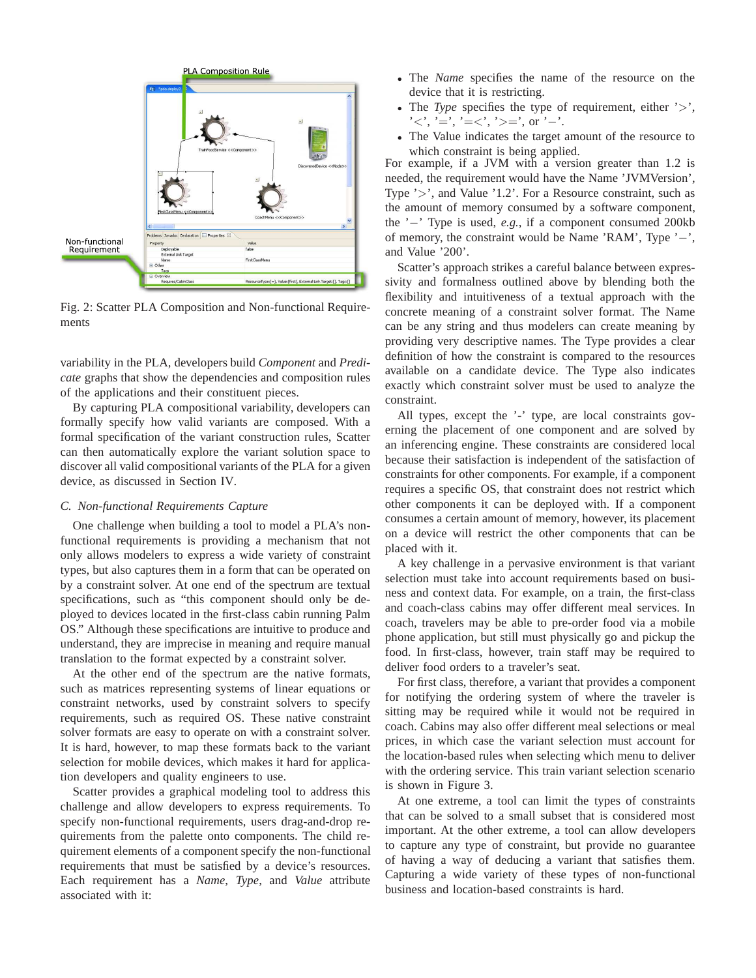

Fig. 2: Scatter PLA Composition and Non-functional Requirements

variability in the PLA, developers build *Component* and *Predicate* graphs that show the dependencies and composition rules of the applications and their constituent pieces.

By capturing PLA compositional variability, developers can formally specify how valid variants are composed. With a formal specification of the variant construction rules, Scatter can then automatically explore the variant solution space to discover all valid compositional variants of the PLA for a given device, as discussed in Section IV.

#### *C. Non-functional Requirements Capture*

One challenge when building a tool to model a PLA's nonfunctional requirements is providing a mechanism that not only allows modelers to express a wide variety of constraint types, but also captures them in a form that can be operated on by a constraint solver. At one end of the spectrum are textual specifications, such as "this component should only be deployed to devices located in the first-class cabin running Palm OS." Although these specifications are intuitive to produce and understand, they are imprecise in meaning and require manual translation to the format expected by a constraint solver.

At the other end of the spectrum are the native formats, such as matrices representing systems of linear equations or constraint networks, used by constraint solvers to specify requirements, such as required OS. These native constraint solver formats are easy to operate on with a constraint solver. It is hard, however, to map these formats back to the variant selection for mobile devices, which makes it hard for application developers and quality engineers to use.

Scatter provides a graphical modeling tool to address this challenge and allow developers to express requirements. To specify non-functional requirements, users drag-and-drop requirements from the palette onto components. The child requirement elements of a component specify the non-functional requirements that must be satisfied by a device's resources. Each requirement has a *Name*, *Type*, and *Value* attribute associated with it:

- The *Name* specifies the name of the resource on the device that it is restricting.
- The *Type* specifies the type of requirement, either '>',  $\langle \langle \cdot, \cdot \rangle = \langle \cdot, \cdot \rangle = \langle \cdot, \cdot \rangle = \langle \cdot, \cdot \rangle = \langle \cdot, \cdot \rangle$ .
- The Value indicates the target amount of the resource to which constraint is being applied.

For example, if a JVM with a version greater than 1.2 is needed, the requirement would have the Name 'JVMVersion', Type '>', and Value '1.2'. For a Resource constraint, such as the amount of memory consumed by a software component, the '−' Type is used, *e.g.*, if a component consumed 200kb of memory, the constraint would be Name 'RAM', Type '−', and Value '200'.

Scatter's approach strikes a careful balance between expressivity and formalness outlined above by blending both the flexibility and intuitiveness of a textual approach with the concrete meaning of a constraint solver format. The Name can be any string and thus modelers can create meaning by providing very descriptive names. The Type provides a clear definition of how the constraint is compared to the resources available on a candidate device. The Type also indicates exactly which constraint solver must be used to analyze the constraint.

All types, except the '-' type, are local constraints governing the placement of one component and are solved by an inferencing engine. These constraints are considered local because their satisfaction is independent of the satisfaction of constraints for other components. For example, if a component requires a specific OS, that constraint does not restrict which other components it can be deployed with. If a component consumes a certain amount of memory, however, its placement on a device will restrict the other components that can be placed with it.

A key challenge in a pervasive environment is that variant selection must take into account requirements based on business and context data. For example, on a train, the first-class and coach-class cabins may offer different meal services. In coach, travelers may be able to pre-order food via a mobile phone application, but still must physically go and pickup the food. In first-class, however, train staff may be required to deliver food orders to a traveler's seat.

For first class, therefore, a variant that provides a component for notifying the ordering system of where the traveler is sitting may be required while it would not be required in coach. Cabins may also offer different meal selections or meal prices, in which case the variant selection must account for the location-based rules when selecting which menu to deliver with the ordering service. This train variant selection scenario is shown in Figure 3.

At one extreme, a tool can limit the types of constraints that can be solved to a small subset that is considered most important. At the other extreme, a tool can allow developers to capture any type of constraint, but provide no guarantee of having a way of deducing a variant that satisfies them. Capturing a wide variety of these types of non-functional business and location-based constraints is hard.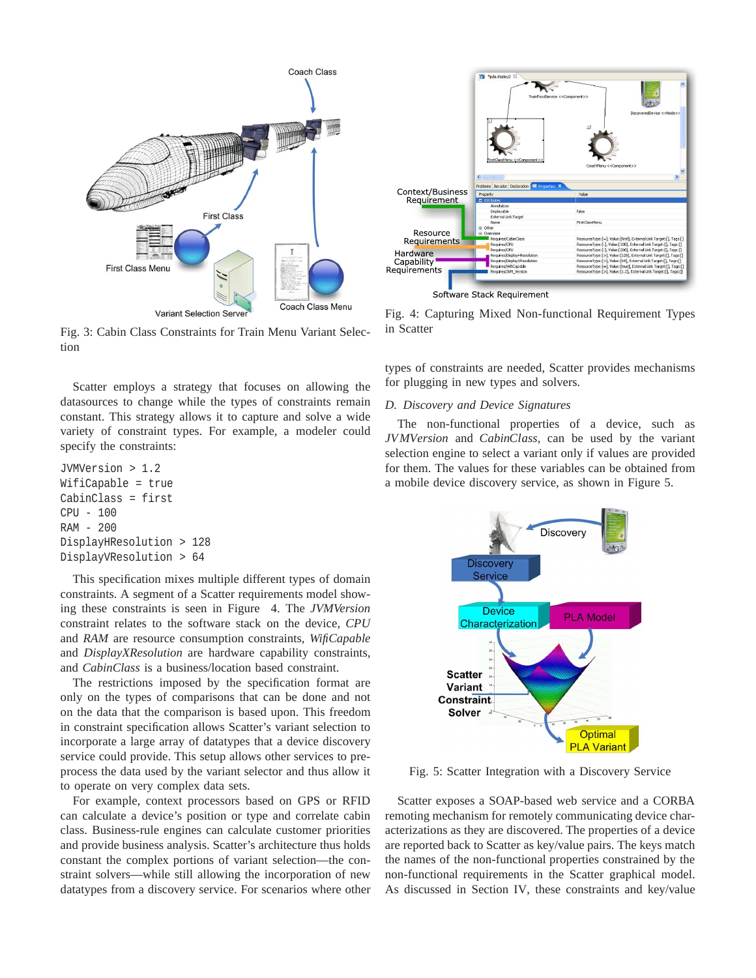

Fig. 3: Cabin Class Constraints for Train Menu Variant Selection

Scatter employs a strategy that focuses on allowing the datasources to change while the types of constraints remain constant. This strategy allows it to capture and solve a wide variety of constraint types. For example, a modeler could specify the constraints:

```
JVMVersion > 1.2
WifiCapable = true
CabinClass = first
CPU - 100
RAM - 200
DisplayHResolution > 128
DisplayVResolution > 64
```
This specification mixes multiple different types of domain constraints. A segment of a Scatter requirements model showing these constraints is seen in Figure 4. The *JVMVersion* constraint relates to the software stack on the device, *CPU* and *RAM* are resource consumption constraints, *WifiCapable* and *DisplayXResolution* are hardware capability constraints, and *CabinClass* is a business/location based constraint.

The restrictions imposed by the specification format are only on the types of comparisons that can be done and not on the data that the comparison is based upon. This freedom in constraint specification allows Scatter's variant selection to incorporate a large array of datatypes that a device discovery service could provide. This setup allows other services to preprocess the data used by the variant selector and thus allow it to operate on very complex data sets.

For example, context processors based on GPS or RFID can calculate a device's position or type and correlate cabin class. Business-rule engines can calculate customer priorities and provide business analysis. Scatter's architecture thus holds constant the complex portions of variant selection—the constraint solvers—while still allowing the incorporation of new datatypes from a discovery service. For scenarios where other



Software Stack Requirement

Fig. 4: Capturing Mixed Non-functional Requirement Types in Scatter

types of constraints are needed, Scatter provides mechanisms for plugging in new types and solvers.

## *D. Discovery and Device Signatures*

The non-functional properties of a device, such as *JVMVersion* and *CabinClass*, can be used by the variant selection engine to select a variant only if values are provided for them. The values for these variables can be obtained from a mobile device discovery service, as shown in Figure 5.



Fig. 5: Scatter Integration with a Discovery Service

Scatter exposes a SOAP-based web service and a CORBA remoting mechanism for remotely communicating device characterizations as they are discovered. The properties of a device are reported back to Scatter as key/value pairs. The keys match the names of the non-functional properties constrained by the non-functional requirements in the Scatter graphical model. As discussed in Section IV, these constraints and key/value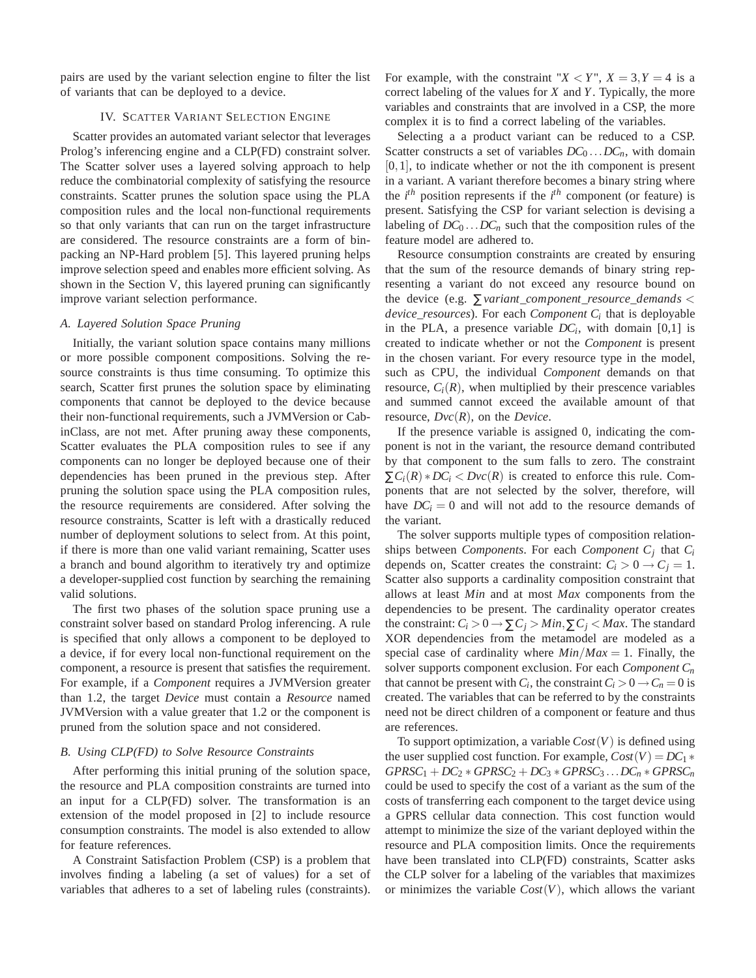pairs are used by the variant selection engine to filter the list of variants that can be deployed to a device.

#### IV. SCATTER VARIANT SELECTION ENGINE

Scatter provides an automated variant selector that leverages Prolog's inferencing engine and a CLP(FD) constraint solver. The Scatter solver uses a layered solving approach to help reduce the combinatorial complexity of satisfying the resource constraints. Scatter prunes the solution space using the PLA composition rules and the local non-functional requirements so that only variants that can run on the target infrastructure are considered. The resource constraints are a form of binpacking an NP-Hard problem [5]. This layered pruning helps improve selection speed and enables more efficient solving. As shown in the Section V, this layered pruning can significantly improve variant selection performance.

#### *A. Layered Solution Space Pruning*

Initially, the variant solution space contains many millions or more possible component compositions. Solving the resource constraints is thus time consuming. To optimize this search, Scatter first prunes the solution space by eliminating components that cannot be deployed to the device because their non-functional requirements, such a JVMVersion or CabinClass, are not met. After pruning away these components, Scatter evaluates the PLA composition rules to see if any components can no longer be deployed because one of their dependencies has been pruned in the previous step. After pruning the solution space using the PLA composition rules, the resource requirements are considered. After solving the resource constraints, Scatter is left with a drastically reduced number of deployment solutions to select from. At this point, if there is more than one valid variant remaining, Scatter uses a branch and bound algorithm to iteratively try and optimize a developer-supplied cost function by searching the remaining valid solutions.

The first two phases of the solution space pruning use a constraint solver based on standard Prolog inferencing. A rule is specified that only allows a component to be deployed to a device, if for every local non-functional requirement on the component, a resource is present that satisfies the requirement. For example, if a *Component* requires a JVMVersion greater than 1.2, the target *Device* must contain a *Resource* named JVMVersion with a value greater that 1.2 or the component is pruned from the solution space and not considered.

## *B. Using CLP(FD) to Solve Resource Constraints*

After performing this initial pruning of the solution space, the resource and PLA composition constraints are turned into an input for a CLP(FD) solver. The transformation is an extension of the model proposed in [2] to include resource consumption constraints. The model is also extended to allow for feature references.

A Constraint Satisfaction Problem (CSP) is a problem that involves finding a labeling (a set of values) for a set of variables that adheres to a set of labeling rules (constraints). For example, with the constraint " $X < Y$ ",  $X = 3, Y = 4$  is a correct labeling of the values for *X* and *Y*. Typically, the more variables and constraints that are involved in a CSP, the more complex it is to find a correct labeling of the variables.

Selecting a a product variant can be reduced to a CSP. Scatter constructs a set of variables  $DC_0 \dots DC_n$ , with domain  $[0,1]$ , to indicate whether or not the ith component is present in a variant. A variant therefore becomes a binary string where the  $i^{th}$  position represents if the  $i^{th}$  component (or feature) is present. Satisfying the CSP for variant selection is devising a labeling of  $DC_0$ ... $DC_n$  such that the composition rules of the feature model are adhered to.

Resource consumption constraints are created by ensuring that the sum of the resource demands of binary string representing a variant do not exceed any resource bound on the device (e.g. ∑*variant*\_*component*\_*resource*\_*demands* < *device*\_*resources*). For each *Component C<sup>i</sup>* that is deployable in the PLA, a presence variable  $DC_i$ , with domain [0,1] is created to indicate whether or not the *Component* is present in the chosen variant. For every resource type in the model, such as CPU, the individual *Component* demands on that resource,  $C_i(R)$ , when multiplied by their prescence variables and summed cannot exceed the available amount of that resource, *Dvc*(*R*), on the *Device*.

If the presence variable is assigned 0, indicating the component is not in the variant, the resource demand contributed by that component to the sum falls to zero. The constraint  $\sum C_i(R) * DC_i < Dvc(R)$  is created to enforce this rule. Components that are not selected by the solver, therefore, will have  $DC_i = 0$  and will not add to the resource demands of the variant.

The solver supports multiple types of composition relationships between *Components*. For each *Component C<sup>j</sup>* that *C<sup>i</sup>* depends on, Scatter creates the constraint:  $C_i > 0 \rightarrow C_j = 1$ . Scatter also supports a cardinality composition constraint that allows at least *Min* and at most *Max* components from the dependencies to be present. The cardinality operator creates the constraint:  $C_i > 0 \rightarrow \sum C_j > Min, \sum C_j < Max$ . The standard XOR dependencies from the metamodel are modeled as a special case of cardinality where  $Min/Max = 1$ . Finally, the solver supports component exclusion. For each *Component C<sup>n</sup>* that cannot be present with  $C_i$ , the constraint  $C_i > 0 \rightarrow C_n = 0$  is created. The variables that can be referred to by the constraints need not be direct children of a component or feature and thus are references.

To support optimization, a variable *Cost*(*V*) is defined using the user supplied cost function. For example,  $Cost(V) = DC_1 *$  $GPRSC_1 + DC_2 * GPRSC_2 + DC_3 * GPRSC_3 ... DC_n * GPRSC_n$ could be used to specify the cost of a variant as the sum of the costs of transferring each component to the target device using a GPRS cellular data connection. This cost function would attempt to minimize the size of the variant deployed within the resource and PLA composition limits. Once the requirements have been translated into CLP(FD) constraints, Scatter asks the CLP solver for a labeling of the variables that maximizes or minimizes the variable  $Cost(V)$ , which allows the variant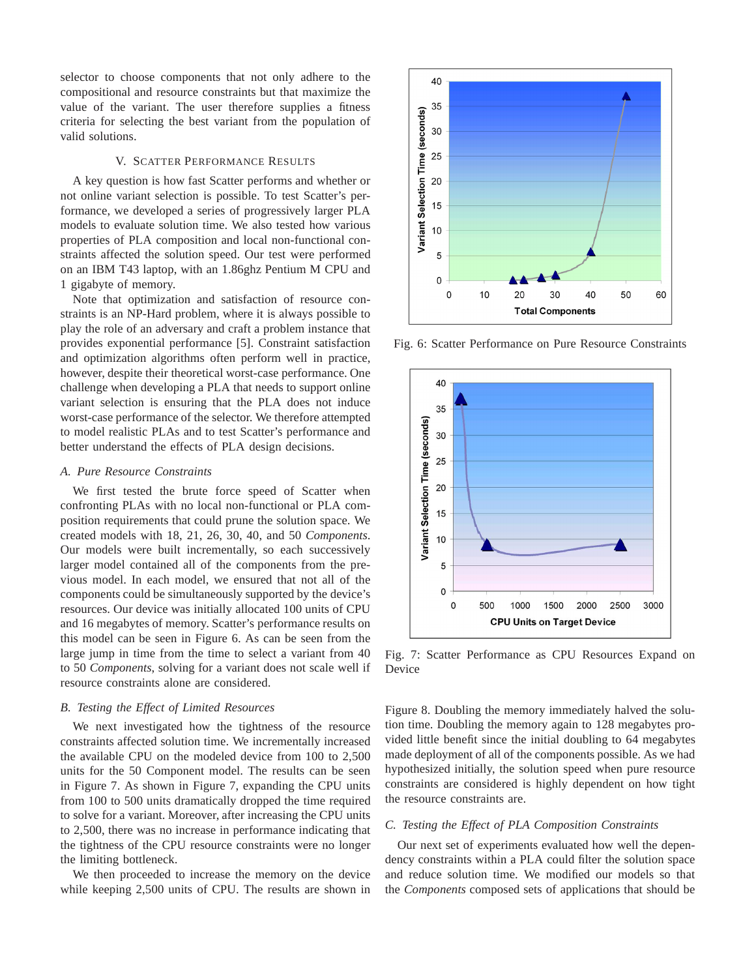selector to choose components that not only adhere to the compositional and resource constraints but that maximize the value of the variant. The user therefore supplies a fitness criteria for selecting the best variant from the population of valid solutions.

#### V. SCATTER PERFORMANCE RESULTS

A key question is how fast Scatter performs and whether or not online variant selection is possible. To test Scatter's performance, we developed a series of progressively larger PLA models to evaluate solution time. We also tested how various properties of PLA composition and local non-functional constraints affected the solution speed. Our test were performed on an IBM T43 laptop, with an 1.86ghz Pentium M CPU and 1 gigabyte of memory.

Note that optimization and satisfaction of resource constraints is an NP-Hard problem, where it is always possible to play the role of an adversary and craft a problem instance that provides exponential performance [5]. Constraint satisfaction and optimization algorithms often perform well in practice, however, despite their theoretical worst-case performance. One challenge when developing a PLA that needs to support online variant selection is ensuring that the PLA does not induce worst-case performance of the selector. We therefore attempted to model realistic PLAs and to test Scatter's performance and better understand the effects of PLA design decisions.

#### *A. Pure Resource Constraints*

We first tested the brute force speed of Scatter when confronting PLAs with no local non-functional or PLA composition requirements that could prune the solution space. We created models with 18, 21, 26, 30, 40, and 50 *Components*. Our models were built incrementally, so each successively larger model contained all of the components from the previous model. In each model, we ensured that not all of the components could be simultaneously supported by the device's resources. Our device was initially allocated 100 units of CPU and 16 megabytes of memory. Scatter's performance results on this model can be seen in Figure 6. As can be seen from the large jump in time from the time to select a variant from 40 to 50 *Components*, solving for a variant does not scale well if resource constraints alone are considered.

## *B. Testing the Effect of Limited Resources*

We next investigated how the tightness of the resource constraints affected solution time. We incrementally increased the available CPU on the modeled device from 100 to 2,500 units for the 50 Component model. The results can be seen in Figure 7. As shown in Figure 7, expanding the CPU units from 100 to 500 units dramatically dropped the time required to solve for a variant. Moreover, after increasing the CPU units to 2,500, there was no increase in performance indicating that the tightness of the CPU resource constraints were no longer the limiting bottleneck.

We then proceeded to increase the memory on the device while keeping 2,500 units of CPU. The results are shown in



Fig. 6: Scatter Performance on Pure Resource Constraints



Fig. 7: Scatter Performance as CPU Resources Expand on Device

Figure 8. Doubling the memory immediately halved the solution time. Doubling the memory again to 128 megabytes provided little benefit since the initial doubling to 64 megabytes made deployment of all of the components possible. As we had hypothesized initially, the solution speed when pure resource constraints are considered is highly dependent on how tight the resource constraints are.

## *C. Testing the Effect of PLA Composition Constraints*

Our next set of experiments evaluated how well the dependency constraints within a PLA could filter the solution space and reduce solution time. We modified our models so that the *Components* composed sets of applications that should be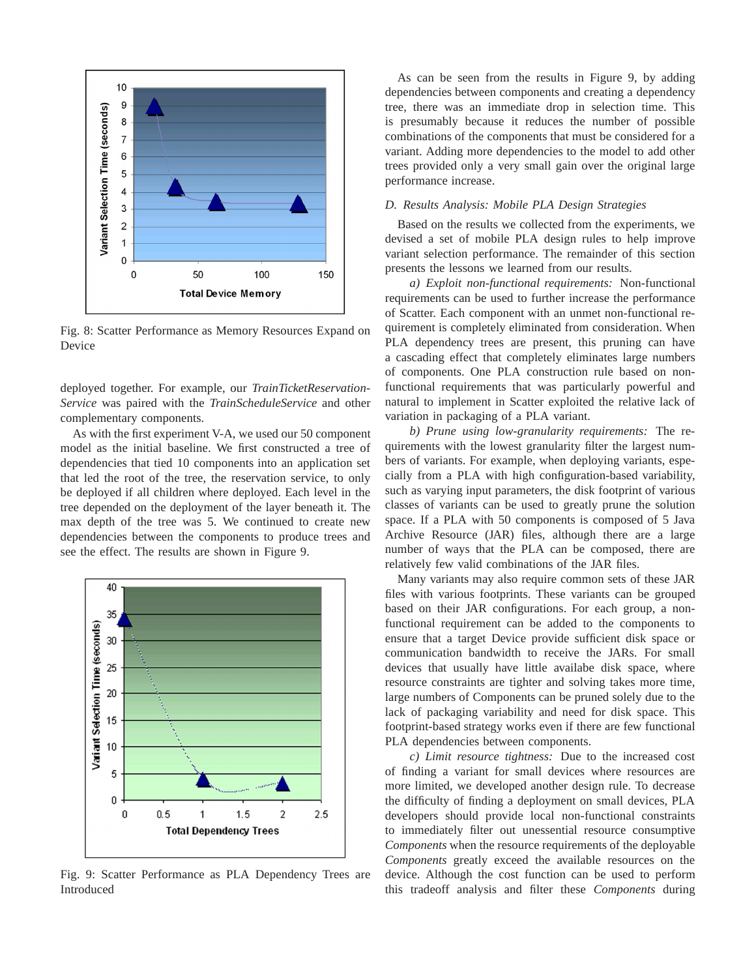

Fig. 8: Scatter Performance as Memory Resources Expand on Device

deployed together. For example, our *TrainTicketReservation-Service* was paired with the *TrainScheduleService* and other complementary components.

As with the first experiment V-A, we used our 50 component model as the initial baseline. We first constructed a tree of dependencies that tied 10 components into an application set that led the root of the tree, the reservation service, to only be deployed if all children where deployed. Each level in the tree depended on the deployment of the layer beneath it. The max depth of the tree was 5. We continued to create new dependencies between the components to produce trees and see the effect. The results are shown in Figure 9.



Fig. 9: Scatter Performance as PLA Dependency Trees are Introduced

As can be seen from the results in Figure 9, by adding dependencies between components and creating a dependency tree, there was an immediate drop in selection time. This is presumably because it reduces the number of possible combinations of the components that must be considered for a variant. Adding more dependencies to the model to add other trees provided only a very small gain over the original large performance increase.

## *D. Results Analysis: Mobile PLA Design Strategies*

Based on the results we collected from the experiments, we devised a set of mobile PLA design rules to help improve variant selection performance. The remainder of this section presents the lessons we learned from our results.

*a) Exploit non-functional requirements:* Non-functional requirements can be used to further increase the performance of Scatter. Each component with an unmet non-functional requirement is completely eliminated from consideration. When PLA dependency trees are present, this pruning can have a cascading effect that completely eliminates large numbers of components. One PLA construction rule based on nonfunctional requirements that was particularly powerful and natural to implement in Scatter exploited the relative lack of variation in packaging of a PLA variant.

*b) Prune using low-granularity requirements:* The requirements with the lowest granularity filter the largest numbers of variants. For example, when deploying variants, especially from a PLA with high configuration-based variability, such as varying input parameters, the disk footprint of various classes of variants can be used to greatly prune the solution space. If a PLA with 50 components is composed of 5 Java Archive Resource (JAR) files, although there are a large number of ways that the PLA can be composed, there are relatively few valid combinations of the JAR files.

Many variants may also require common sets of these JAR files with various footprints. These variants can be grouped based on their JAR configurations. For each group, a nonfunctional requirement can be added to the components to ensure that a target Device provide sufficient disk space or communication bandwidth to receive the JARs. For small devices that usually have little availabe disk space, where resource constraints are tighter and solving takes more time, large numbers of Components can be pruned solely due to the lack of packaging variability and need for disk space. This footprint-based strategy works even if there are few functional PLA dependencies between components.

*c) Limit resource tightness:* Due to the increased cost of finding a variant for small devices where resources are more limited, we developed another design rule. To decrease the difficulty of finding a deployment on small devices, PLA developers should provide local non-functional constraints to immediately filter out unessential resource consumptive *Components* when the resource requirements of the deployable *Components* greatly exceed the available resources on the device. Although the cost function can be used to perform this tradeoff analysis and filter these *Components* during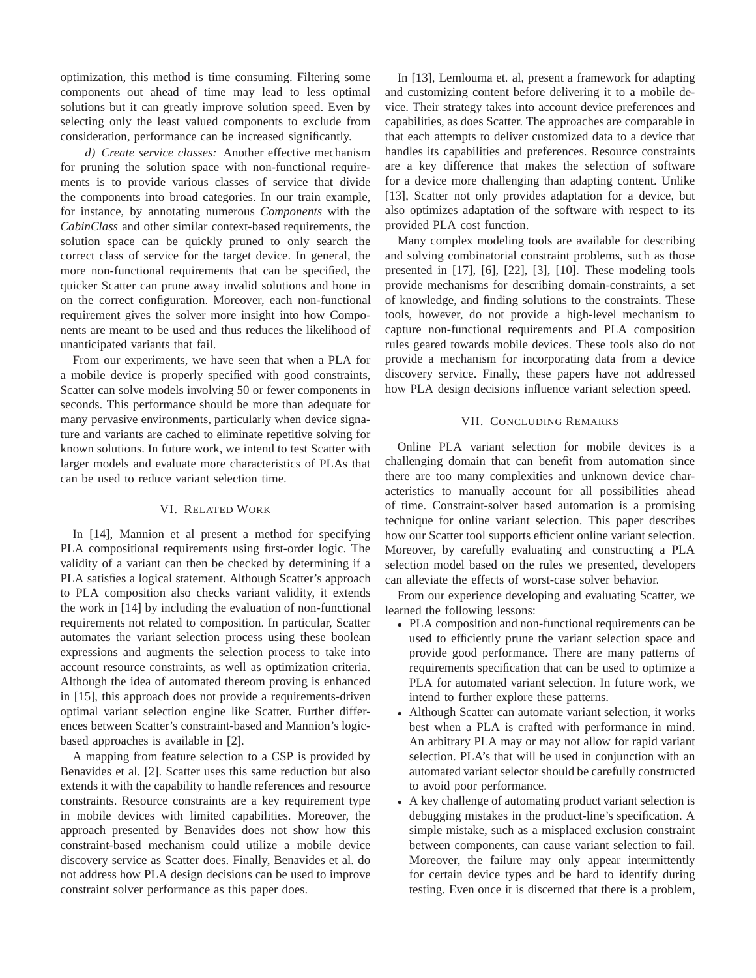optimization, this method is time consuming. Filtering some components out ahead of time may lead to less optimal solutions but it can greatly improve solution speed. Even by selecting only the least valued components to exclude from consideration, performance can be increased significantly.

*d) Create service classes:* Another effective mechanism for pruning the solution space with non-functional requirements is to provide various classes of service that divide the components into broad categories. In our train example, for instance, by annotating numerous *Components* with the *CabinClass* and other similar context-based requirements, the solution space can be quickly pruned to only search the correct class of service for the target device. In general, the more non-functional requirements that can be specified, the quicker Scatter can prune away invalid solutions and hone in on the correct configuration. Moreover, each non-functional requirement gives the solver more insight into how Components are meant to be used and thus reduces the likelihood of unanticipated variants that fail.

From our experiments, we have seen that when a PLA for a mobile device is properly specified with good constraints, Scatter can solve models involving 50 or fewer components in seconds. This performance should be more than adequate for many pervasive environments, particularly when device signature and variants are cached to eliminate repetitive solving for known solutions. In future work, we intend to test Scatter with larger models and evaluate more characteristics of PLAs that can be used to reduce variant selection time.

# VI. RELATED WORK

In [14], Mannion et al present a method for specifying PLA compositional requirements using first-order logic. The validity of a variant can then be checked by determining if a PLA satisfies a logical statement. Although Scatter's approach to PLA composition also checks variant validity, it extends the work in [14] by including the evaluation of non-functional requirements not related to composition. In particular, Scatter automates the variant selection process using these boolean expressions and augments the selection process to take into account resource constraints, as well as optimization criteria. Although the idea of automated thereom proving is enhanced in [15], this approach does not provide a requirements-driven optimal variant selection engine like Scatter. Further differences between Scatter's constraint-based and Mannion's logicbased approaches is available in [2].

A mapping from feature selection to a CSP is provided by Benavides et al. [2]. Scatter uses this same reduction but also extends it with the capability to handle references and resource constraints. Resource constraints are a key requirement type in mobile devices with limited capabilities. Moreover, the approach presented by Benavides does not show how this constraint-based mechanism could utilize a mobile device discovery service as Scatter does. Finally, Benavides et al. do not address how PLA design decisions can be used to improve constraint solver performance as this paper does.

In [13], Lemlouma et. al, present a framework for adapting and customizing content before delivering it to a mobile device. Their strategy takes into account device preferences and capabilities, as does Scatter. The approaches are comparable in that each attempts to deliver customized data to a device that handles its capabilities and preferences. Resource constraints are a key difference that makes the selection of software for a device more challenging than adapting content. Unlike [13], Scatter not only provides adaptation for a device, but also optimizes adaptation of the software with respect to its provided PLA cost function.

Many complex modeling tools are available for describing and solving combinatorial constraint problems, such as those presented in [17], [6], [22], [3], [10]. These modeling tools provide mechanisms for describing domain-constraints, a set of knowledge, and finding solutions to the constraints. These tools, however, do not provide a high-level mechanism to capture non-functional requirements and PLA composition rules geared towards mobile devices. These tools also do not provide a mechanism for incorporating data from a device discovery service. Finally, these papers have not addressed how PLA design decisions influence variant selection speed.

## VII. CONCLUDING REMARKS

Online PLA variant selection for mobile devices is a challenging domain that can benefit from automation since there are too many complexities and unknown device characteristics to manually account for all possibilities ahead of time. Constraint-solver based automation is a promising technique for online variant selection. This paper describes how our Scatter tool supports efficient online variant selection. Moreover, by carefully evaluating and constructing a PLA selection model based on the rules we presented, developers can alleviate the effects of worst-case solver behavior.

From our experience developing and evaluating Scatter, we learned the following lessons:

- PLA composition and non-functional requirements can be used to efficiently prune the variant selection space and provide good performance. There are many patterns of requirements specification that can be used to optimize a PLA for automated variant selection. In future work, we intend to further explore these patterns.
- Although Scatter can automate variant selection, it works best when a PLA is crafted with performance in mind. An arbitrary PLA may or may not allow for rapid variant selection. PLA's that will be used in conjunction with an automated variant selector should be carefully constructed to avoid poor performance.
- A key challenge of automating product variant selection is debugging mistakes in the product-line's specification. A simple mistake, such as a misplaced exclusion constraint between components, can cause variant selection to fail. Moreover, the failure may only appear intermittently for certain device types and be hard to identify during testing. Even once it is discerned that there is a problem,